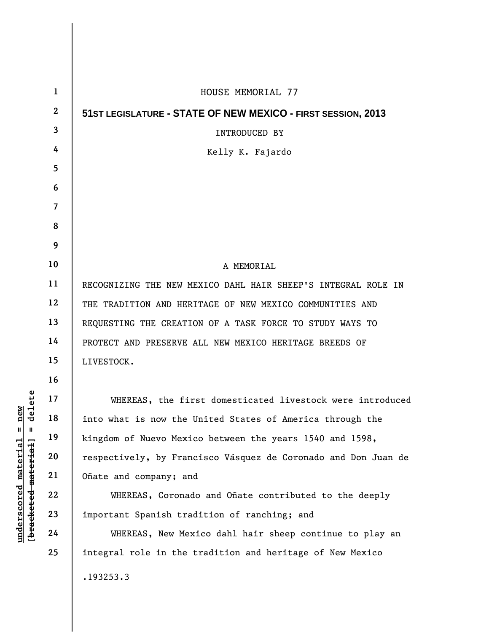| $\mathbf 1$    | HOUSE MEMORIAL 77                                              |
|----------------|----------------------------------------------------------------|
| $\mathbf{2}$   | 51ST LEGISLATURE - STATE OF NEW MEXICO - FIRST SESSION, 2013   |
| 3              | <b>INTRODUCED BY</b>                                           |
| 4              | Kelly K. Fajardo                                               |
| 5              |                                                                |
| 6              |                                                                |
| $\overline{7}$ |                                                                |
| 8              |                                                                |
| 9              |                                                                |
| 10             | A MEMORIAL                                                     |
| 11             | RECOGNIZING THE NEW MEXICO DAHL HAIR SHEEP'S INTEGRAL ROLE IN  |
| 12             | THE TRADITION AND HERITAGE OF NEW MEXICO COMMUNITIES AND       |
| 13             | REQUESTING THE CREATION OF A TASK FORCE TO STUDY WAYS TO       |
| 14             | PROTECT AND PRESERVE ALL NEW MEXICO HERITAGE BREEDS OF         |
| 15             | LIVESTOCK.                                                     |
| 16             |                                                                |
| 17             | WHEREAS, the first domesticated livestock were introduced      |
| 18             | into what is now the United States of America through the      |
| 19             | kingdom of Nuevo Mexico between the years 1540 and 1598,       |
| 20             | respectively, by Francisco Vásquez de Coronado and Don Juan de |
| 21             | Oñate and company; and                                         |
| 22             | WHEREAS, Coronado and Oñate contributed to the deeply          |
| 23             | important Spanish tradition of ranching; and                   |
| 24             | WHEREAS, New Mexico dahl hair sheep continue to play an        |
| 25             | integral role in the tradition and heritage of New Mexico      |
|                | .193253.3                                                      |
|                |                                                                |

 $[**bracket eted metert et**] = **del et e**$ **[bracketed material] = delete**  $underscored material = new$ **underscored material = new**